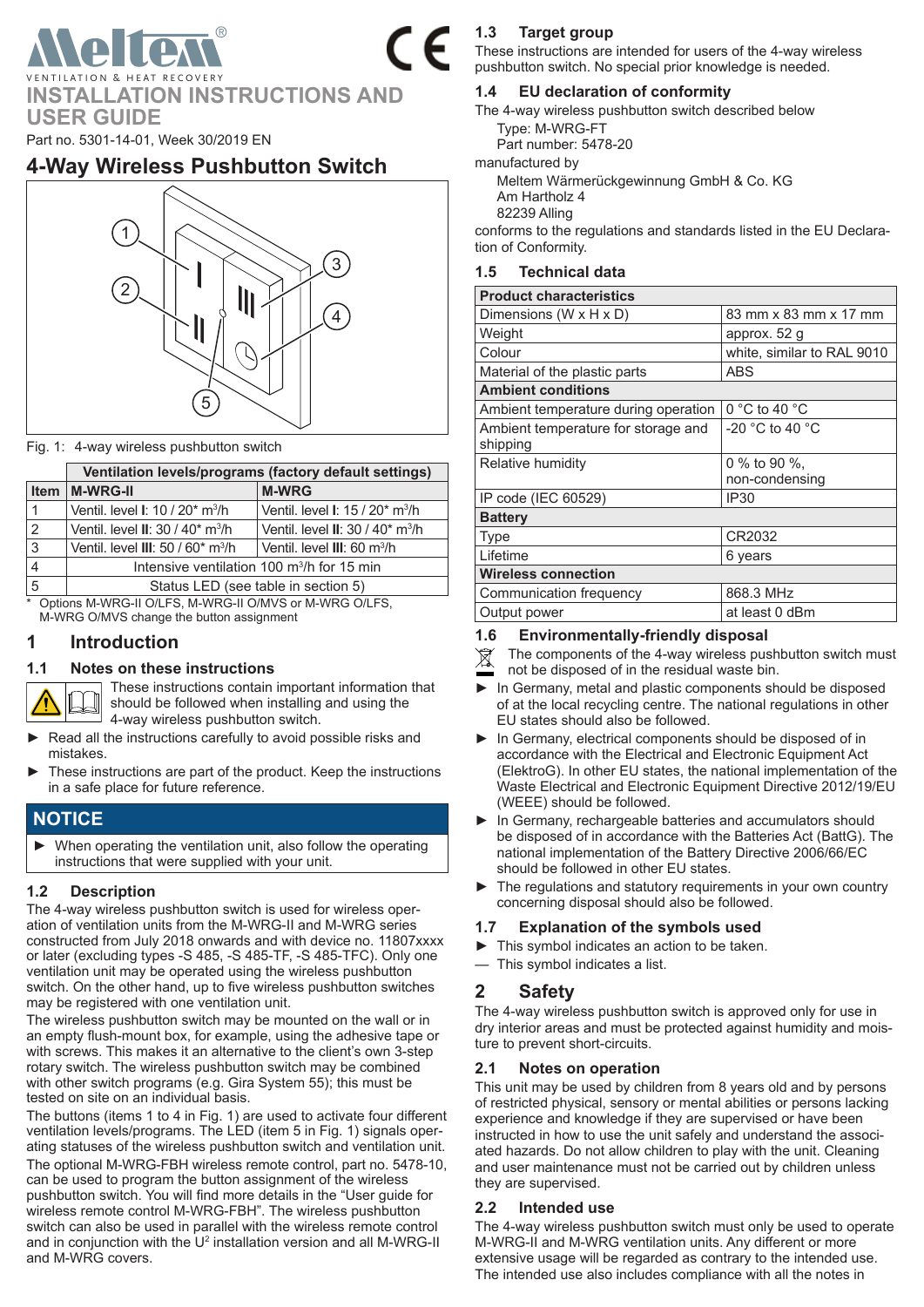VENTILATION & HEAT RECOVERY **INSTALLATION INSTRUCTIONS AND USER GUIDE**

Part no. 5301-14-01, Week 30/2019 EN

# **4-Way Wireless Pushbutton Switch**



#### <span id="page-0-0"></span>Fig. 1: 4-way wireless pushbutton switch

|             | Ventilation levels/programs (factory default settings)          |                                                                 |  |
|-------------|-----------------------------------------------------------------|-----------------------------------------------------------------|--|
| <b>Item</b> | M-WRG-II                                                        | <b>M-WRG</b>                                                    |  |
|             | Ventil, level <b>I</b> : 10 / 20 <sup>*</sup> m <sup>3</sup> /h | Ventil. level <b>I</b> : 15 / 20 <sup>*</sup> m <sup>3</sup> /h |  |
| 2           | Ventil. level $II: 30 / 40$ <sup>*</sup> m <sup>3</sup> /h      | Ventil, level II: 30 / 40 <sup>*</sup> m <sup>3</sup> /h        |  |
| 3           | Ventil, level III: 50 / 60* m <sup>3</sup> /h                   | Ventil. level III: 60 m <sup>3</sup> /h                         |  |
| 4           | Intensive ventilation 100 $\mathrm{m}^3$ /h for 15 min          |                                                                 |  |
| 5           | Status LED (see table in section 5)                             |                                                                 |  |

Options M-WRG-II O/LFS, M-WRG-II O/MVS or M-WRG O/LFS, M-WRG O/MVS change the button assignment

### **1 Introduction**

#### **1.1 Notes on these instructions**

These instructions contain important information that should be followed when installing and using the 4-way wireless pushbutton switch.

- Read all the instructions carefully to avoid possible risks and mistakes.
- These instructions are part of the product. Keep the instructions in a safe place for future reference.

### **NOTICE**

► When operating the ventilation unit, also follow the operating instructions that were supplied with your unit.

#### **1.2 Description**

The 4-way wireless pushbutton switch is used for wireless operation of ventilation units from the M-WRG-II and M-WRG series constructed from July 2018 onwards and with device no. 11807xxxx or later (excluding types -S 485, -S 485-TF, -S 485-TFC). Only one ventilation unit may be operated using the wireless pushbutton switch. On the other hand, up to five wireless pushbutton switches may be registered with one ventilation unit.

The wireless pushbutton switch may be mounted on the wall or in an empty flush-mount box, for example, using the adhesive tape or with screws. This makes it an alternative to the client's own 3-step rotary switch. The wireless pushbutton switch may be combined with other switch programs (e.g. Gira System 55); this must be tested on site on an individual basis.

The buttons (items 1 to 4 in [Fig.](#page-0-0) 1) are used to activate four different ventilation levels/programs. The LED (item 5 in [Fig.](#page-0-0) 1) signals operating statuses of the wireless pushbutton switch and ventilation unit. The optional M-WRG-FBH wireless remote control, part no. 5478-10, can be used to program the button assignment of the wireless pushbutton switch. You will find more details in the "User guide for wireless remote control M-WRG-FBH". The wireless pushbutton switch can also be used in parallel with the wireless remote control and in conjunction with the  $U^2$  installation version and all M-WRG-II and M-WRG covers.

### **1.3 Target group**

These instructions are intended for users of the 4-way wireless pushbutton switch. No special prior knowledge is needed.

### **1.4 EU declaration of conformity**

The 4-way wireless pushbutton switch described below Type: M-WRG-FT

Part number: 5478-20

manufactured by

Meltem Wärmerückgewinnung GmbH & Co. KG Am Hartholz 4

82239 Alling

conforms to the regulations and standards listed in the EU Declaration of Conformity.

#### **1.5 Technical data**

| <b>Product characteristics</b>                  |                                |  |  |  |  |
|-------------------------------------------------|--------------------------------|--|--|--|--|
| Dimensions (W x H x D)                          | 83 mm x 83 mm x 17 mm          |  |  |  |  |
| Weight                                          | approx. 52 g                   |  |  |  |  |
| Colour                                          | white, similar to RAL 9010     |  |  |  |  |
| Material of the plastic parts                   | <b>ABS</b>                     |  |  |  |  |
| <b>Ambient conditions</b>                       |                                |  |  |  |  |
| Ambient temperature during operation            | $0 °C$ to 40 $°C$              |  |  |  |  |
| Ambient temperature for storage and<br>shipping | $-20$ °C to 40 °C              |  |  |  |  |
| Relative humidity                               | 0 % to 90 %,<br>non-condensing |  |  |  |  |
| IP code (IEC 60529)                             | <b>IP30</b>                    |  |  |  |  |
| <b>Battery</b>                                  |                                |  |  |  |  |
| <b>Type</b>                                     | CR2032                         |  |  |  |  |
| Lifetime                                        | 6 years                        |  |  |  |  |
| <b>Wireless connection</b>                      |                                |  |  |  |  |
| Communication frequency                         | 868.3 MHz                      |  |  |  |  |
| Output power                                    | at least 0 dBm                 |  |  |  |  |

#### **1.6 Environmentally-friendly disposal**

The components of the 4-way wireless pushbutton switch must  $\cancel{2}$ 

not be disposed of in the residual waste bin.

- ► In Germany, metal and plastic components should be disposed of at the local recycling centre. The national regulations in other EU states should also be followed.
- ► In Germany, electrical components should be disposed of in accordance with the Electrical and Electronic Equipment Act (ElektroG). In other EU states, the national implementation of the Waste Electrical and Electronic Equipment Directive 2012/19/EU (WEEE) should be followed.
- ► In Germany, rechargeable batteries and accumulators should be disposed of in accordance with the Batteries Act (BattG). The national implementation of the Battery Directive 2006/66/EC should be followed in other EU states.
- ► The regulations and statutory requirements in your own country concerning disposal should also be followed.

#### **1.7 Explanation of the symbols used**

- This symbol indicates an action to be taken.
- This symbol indicates a list.

### **2 Safety**

The 4-way wireless pushbutton switch is approved only for use in dry interior areas and must be protected against humidity and moisture to prevent short-circuits.

#### **2.1 Notes on operation**

This unit may be used by children from 8 years old and by persons of restricted physical, sensory or mental abilities or persons lacking experience and knowledge if they are supervised or have been instructed in how to use the unit safely and understand the associated hazards. Do not allow children to play with the unit. Cleaning and user maintenance must not be carried out by children unless they are supervised.

#### **2.2 Intended use**

The 4-way wireless pushbutton switch must only be used to operate M-WRG-II and M-WRG ventilation units. Any different or more extensive usage will be regarded as contrary to the intended use. The intended use also includes compliance with all the notes in